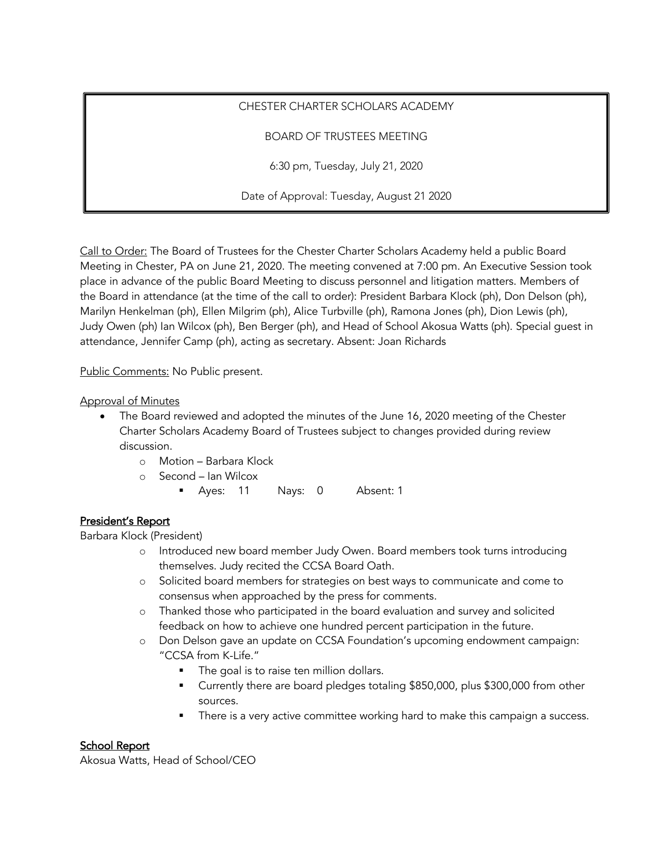# CHESTER CHARTER SCHOLARS ACADEMY

## BOARD OF TRUSTEES MEETING

6:30 pm, Tuesday, July 21, 2020

Date of Approval: Tuesday, August 21 2020

Call to Order: The Board of Trustees for the Chester Charter Scholars Academy held a public Board Meeting in Chester, PA on June 21, 2020. The meeting convened at 7:00 pm. An Executive Session took place in advance of the public Board Meeting to discuss personnel and litigation matters. Members of the Board in attendance (at the time of the call to order): President Barbara Klock (ph), Don Delson (ph), Marilyn Henkelman (ph), Ellen Milgrim (ph), Alice Turbville (ph), Ramona Jones (ph), Dion Lewis (ph), Judy Owen (ph) Ian Wilcox (ph), Ben Berger (ph), and Head of School Akosua Watts (ph). Special guest in attendance, Jennifer Camp (ph), acting as secretary. Absent: Joan Richards

Public Comments: No Public present.

### Approval of Minutes

- The Board reviewed and adopted the minutes of the June 16, 2020 meeting of the Chester Charter Scholars Academy Board of Trustees subject to changes provided during review discussion.
	- o Motion Barbara Klock
	- o Second Ian Wilcox
		- § Ayes: 11 Nays: 0 Absent: 1

## President's Report

Barbara Klock (President)

- o Introduced new board member Judy Owen. Board members took turns introducing themselves. Judy recited the CCSA Board Oath.
- o Solicited board members for strategies on best ways to communicate and come to consensus when approached by the press for comments.
- o Thanked those who participated in the board evaluation and survey and solicited feedback on how to achieve one hundred percent participation in the future.
- o Don Delson gave an update on CCSA Foundation's upcoming endowment campaign: "CCSA from K-Life."
	- The goal is to raise ten million dollars.
	- Currently there are board pledges totaling \$850,000, plus \$300,000 from other sources.
	- There is a very active committee working hard to make this campaign a success.

## School Report

Akosua Watts, Head of School/CEO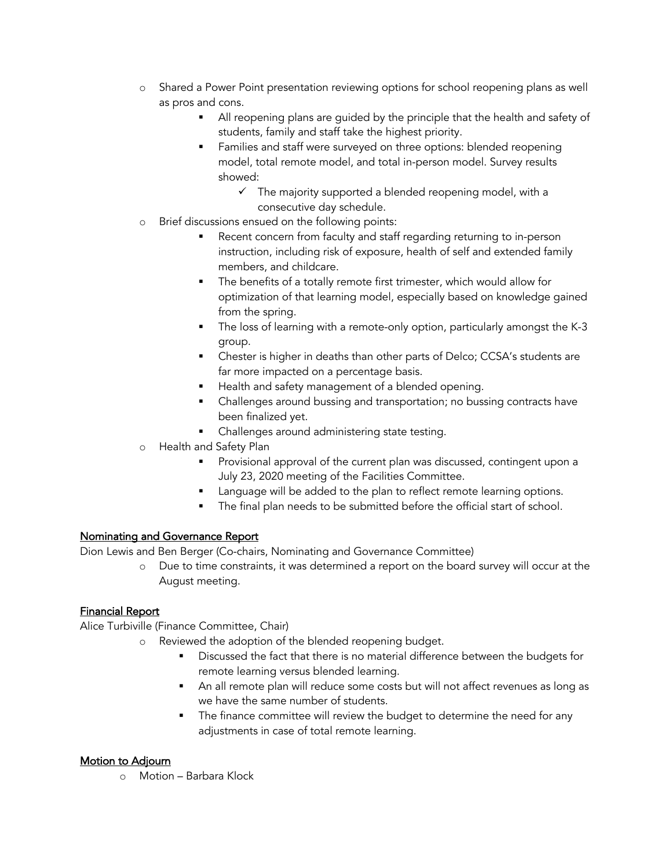- o Shared a Power Point presentation reviewing options for school reopening plans as well as pros and cons.
	- All reopening plans are guided by the principle that the health and safety of students, family and staff take the highest priority.
	- Families and staff were surveyed on three options: blended reopening model, total remote model, and total in-person model. Survey results showed:
		- $\checkmark$  The majority supported a blended reopening model, with a consecutive day schedule.
- o Brief discussions ensued on the following points:
	- Recent concern from faculty and staff regarding returning to in-person instruction, including risk of exposure, health of self and extended family members, and childcare.
	- The benefits of a totally remote first trimester, which would allow for optimization of that learning model, especially based on knowledge gained from the spring.
	- The loss of learning with a remote-only option, particularly amongst the K-3 group.
	- Chester is higher in deaths than other parts of Delco; CCSA's students are far more impacted on a percentage basis.
	- Health and safety management of a blended opening.
	- Challenges around bussing and transportation; no bussing contracts have been finalized yet.
	- Challenges around administering state testing.
- o Health and Safety Plan
	- Provisional approval of the current plan was discussed, contingent upon a July 23, 2020 meeting of the Facilities Committee.
	- Language will be added to the plan to reflect remote learning options.
	- The final plan needs to be submitted before the official start of school.

### Nominating and Governance Report

Dion Lewis and Ben Berger (Co-chairs, Nominating and Governance Committee)

o Due to time constraints, it was determined a report on the board survey will occur at the August meeting.

### Financial Report

Alice Turbiville (Finance Committee, Chair)

- o Reviewed the adoption of the blended reopening budget.
	- Discussed the fact that there is no material difference between the budgets for remote learning versus blended learning.
	- § An all remote plan will reduce some costs but will not affect revenues as long as we have the same number of students.
	- **•** The finance committee will review the budget to determine the need for any adjustments in case of total remote learning.

### Motion to Adjourn

o Motion – Barbara Klock